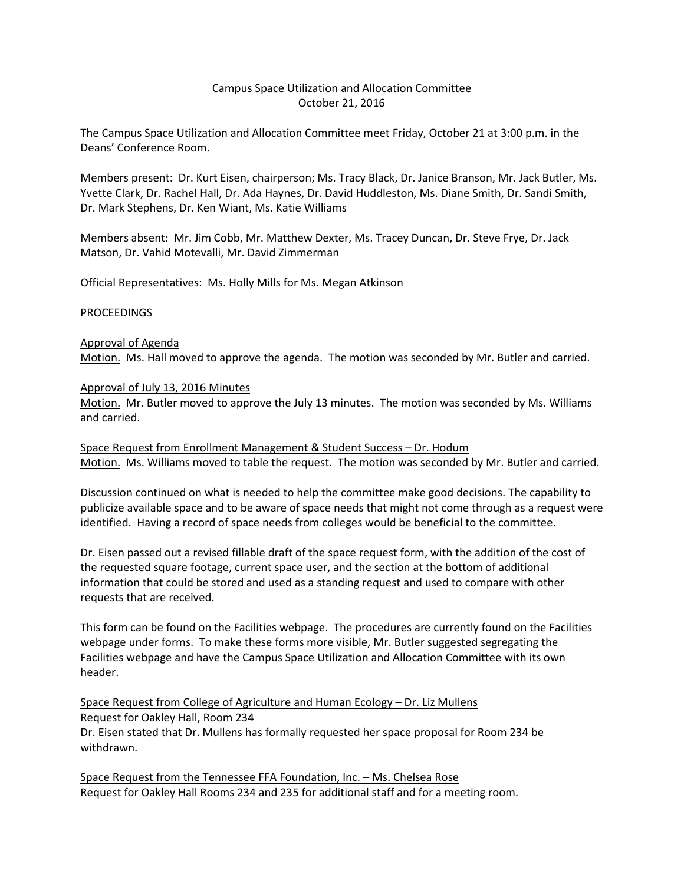## Campus Space Utilization and Allocation Committee October 21, 2016

The Campus Space Utilization and Allocation Committee meet Friday, October 21 at 3:00 p.m. in the Deans' Conference Room.

Members present: Dr. Kurt Eisen, chairperson; Ms. Tracy Black, Dr. Janice Branson, Mr. Jack Butler, Ms. Yvette Clark, Dr. Rachel Hall, Dr. Ada Haynes, Dr. David Huddleston, Ms. Diane Smith, Dr. Sandi Smith, Dr. Mark Stephens, Dr. Ken Wiant, Ms. Katie Williams

Members absent: Mr. Jim Cobb, Mr. Matthew Dexter, Ms. Tracey Duncan, Dr. Steve Frye, Dr. Jack Matson, Dr. Vahid Motevalli, Mr. David Zimmerman

Official Representatives: Ms. Holly Mills for Ms. Megan Atkinson

#### **PROCEEDINGS**

# Approval of Agenda Motion. Ms. Hall moved to approve the agenda. The motion was seconded by Mr. Butler and carried.

#### Approval of July 13, 2016 Minutes

Motion. Mr. Butler moved to approve the July 13 minutes. The motion was seconded by Ms. Williams and carried.

Space Request from Enrollment Management & Student Success – Dr. Hodum Motion. Ms. Williams moved to table the request. The motion was seconded by Mr. Butler and carried.

Discussion continued on what is needed to help the committee make good decisions. The capability to publicize available space and to be aware of space needs that might not come through as a request were identified. Having a record of space needs from colleges would be beneficial to the committee.

Dr. Eisen passed out a revised fillable draft of the space request form, with the addition of the cost of the requested square footage, current space user, and the section at the bottom of additional information that could be stored and used as a standing request and used to compare with other requests that are received.

This form can be found on the Facilities webpage. The procedures are currently found on the Facilities webpage under forms. To make these forms more visible, Mr. Butler suggested segregating the Facilities webpage and have the Campus Space Utilization and Allocation Committee with its own header.

Space Request from College of Agriculture and Human Ecology – Dr. Liz Mullens Request for Oakley Hall, Room 234 Dr. Eisen stated that Dr. Mullens has formally requested her space proposal for Room 234 be withdrawn.

Space Request from the Tennessee FFA Foundation, Inc. – Ms. Chelsea Rose Request for Oakley Hall Rooms 234 and 235 for additional staff and for a meeting room.